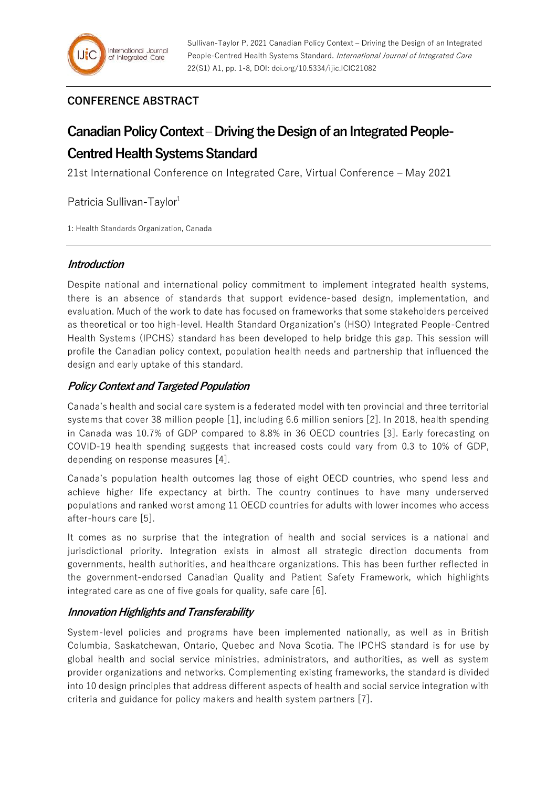## **CONFERENCE ABSTRACT**

# **Canadian Policy Context –Driving the Design of an Integrated People-Centred Health Systems Standard**

21st International Conference on Integrated Care, Virtual Conference – May 2021

Patricia Sullivan-Taylor<sup>1</sup>

1: Health Standards Organization, Canada

#### **Introduction**

Despite national and international policy commitment to implement integrated health systems, there is an absence of standards that support evidence-based design, implementation, and evaluation. Much of the work to date has focused on frameworks that some stakeholders perceived as theoretical or too high-level. Health Standard Organization's (HSO) Integrated People-Centred Health Systems (IPCHS) standard has been developed to help bridge this gap. This session will profile the Canadian policy context, population health needs and partnership that influenced the design and early uptake of this standard.

### **Policy Context and Targeted Population**

Canada's health and social care system is a federated model with ten provincial and three territorial systems that cover 38 million people [1], including 6.6 million seniors [2]. In 2018, health spending in Canada was 10.7% of GDP compared to 8.8% in 36 OECD countries [3]. Early forecasting on COVID-19 health spending suggests that increased costs could vary from 0.3 to 10% of GDP, depending on response measures [4].

Canada's population health outcomes lag those of eight OECD countries, who spend less and achieve higher life expectancy at birth. The country continues to have many underserved populations and ranked worst among 11 OECD countries for adults with lower incomes who access after-hours care [5].

It comes as no surprise that the integration of health and social services is a national and jurisdictional priority. Integration exists in almost all strategic direction documents from governments, health authorities, and healthcare organizations. This has been further reflected in the government-endorsed Canadian Quality and Patient Safety Framework, which highlights integrated care as one of five goals for quality, safe care [6].

#### **Innovation Highlights and Transferability**

System-level policies and programs have been implemented nationally, as well as in British Columbia, Saskatchewan, Ontario, Quebec and Nova Scotia. The IPCHS standard is for use by global health and social service ministries, administrators, and authorities, as well as system provider organizations and networks. Complementing existing frameworks, the standard is divided into 10 design principles that address different aspects of health and social service integration with criteria and guidance for policy makers and health system partners [7].